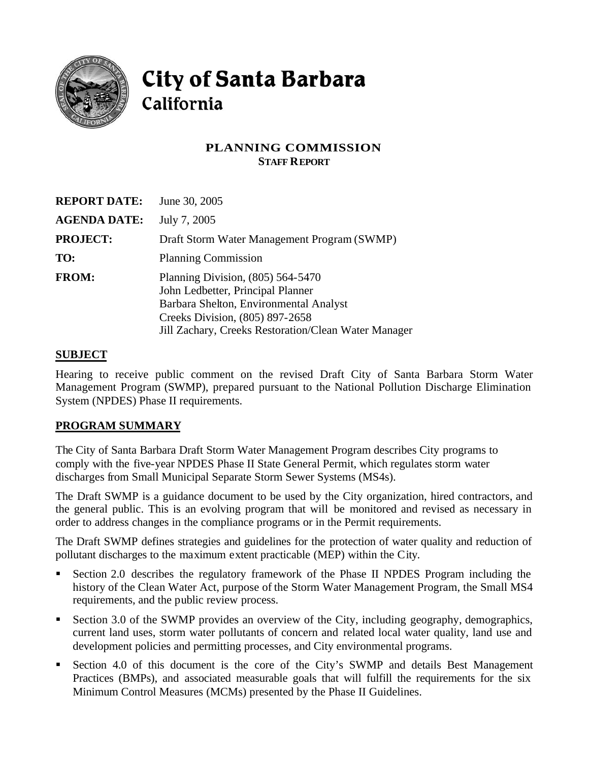

# City of Santa Barbara California

## **PLANNING COMMISSION STAFF REPORT**

| <b>REPORT DATE:</b> | June 30, 2005                                                                                                                                                                                                 |
|---------------------|---------------------------------------------------------------------------------------------------------------------------------------------------------------------------------------------------------------|
| <b>AGENDA DATE:</b> | July 7, 2005                                                                                                                                                                                                  |
| <b>PROJECT:</b>     | Draft Storm Water Management Program (SWMP)                                                                                                                                                                   |
| TO:                 | <b>Planning Commission</b>                                                                                                                                                                                    |
| <b>FROM:</b>        | Planning Division, $(805)$ 564-5470<br>John Ledbetter, Principal Planner<br>Barbara Shelton, Environmental Analyst<br>Creeks Division, (805) 897-2658<br>Jill Zachary, Creeks Restoration/Clean Water Manager |

#### **SUBJECT**

Hearing to receive public comment on the revised Draft City of Santa Barbara Storm Water Management Program (SWMP), prepared pursuant to the National Pollution Discharge Elimination System (NPDES) Phase II requirements.

#### **PROGRAM SUMMARY**

The City of Santa Barbara Draft Storm Water Management Program describes City programs to comply with the five-year NPDES Phase II State General Permit, which regulates storm water discharges from Small Municipal Separate Storm Sewer Systems (MS4s).

The Draft SWMP is a guidance document to be used by the City organization, hired contractors, and the general public. This is an evolving program that will be monitored and revised as necessary in order to address changes in the compliance programs or in the Permit requirements.

The Draft SWMP defines strategies and guidelines for the protection of water quality and reduction of pollutant discharges to the maximum extent practicable (MEP) within the City.

- **Section 2.0 describes the regulatory framework of the Phase II NPDES Program including the** history of the Clean Water Act, purpose of the Storm Water Management Program, the Small MS4 requirements, and the public review process.
- Section 3.0 of the SWMP provides an overview of the City, including geography, demographics, current land uses, storm water pollutants of concern and related local water quality, land use and development policies and permitting processes, and City environmental programs.
- **EXECT** Section 4.0 of this document is the core of the City's SWMP and details Best Management Practices (BMPs), and associated measurable goals that will fulfill the requirements for the six Minimum Control Measures (MCMs) presented by the Phase II Guidelines.